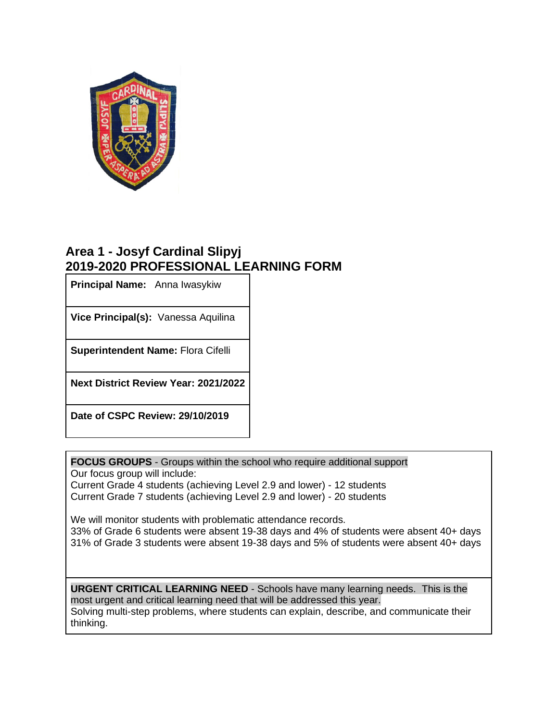

## **Area 1 - Josyf Cardinal Slipyj 2019-2020 PROFESSIONAL LEARNING FORM**

**Principal Name:** Anna Iwasykiw

**Vice Principal(s):** Vanessa Aquilina

**Superintendent Name:** Flora Cifelli

**Next District Review Year: 2021/2022**

**Date of CSPC Review: 29/10/2019**

**FOCUS GROUPS** - Groups within the school who require additional support Our focus group will include:

Current Grade 4 students (achieving Level 2.9 and lower) - 12 students Current Grade 7 students (achieving Level 2.9 and lower) - 20 students

We will monitor students with problematic attendance records. 33% of Grade 6 students were absent 19-38 days and 4% of students were absent 40+ days 31% of Grade 3 students were absent 19-38 days and 5% of students were absent 40+ days

**URGENT CRITICAL LEARNING NEED** - Schools have many learning needs. This is the most urgent and critical learning need that will be addressed this year. Solving multi-step problems, where students can explain, describe, and communicate their thinking.